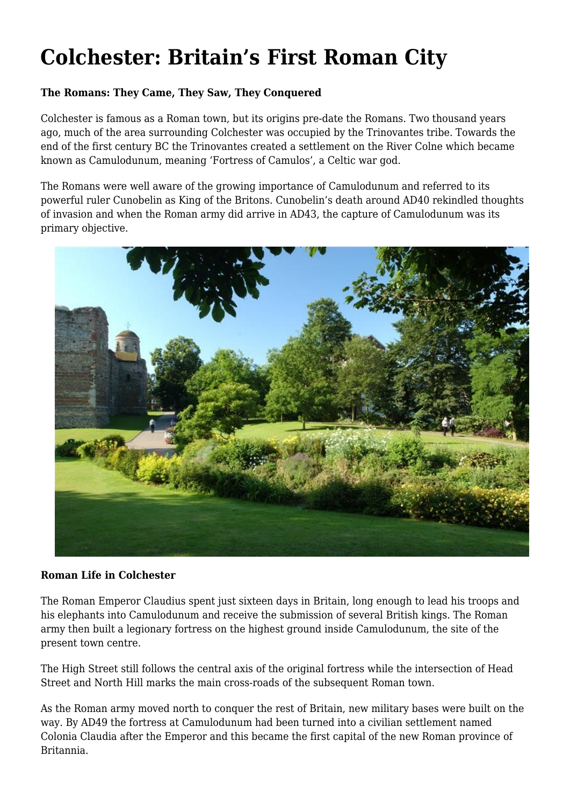# **Colchester: Britain's First Roman City**

# **The Romans: They Came, They Saw, They Conquered**

Colchester is famous as a Roman town, but its origins pre-date the Romans. Two thousand years ago, much of the area surrounding Colchester was occupied by the Trinovantes tribe. Towards the end of the first century BC the Trinovantes created a settlement on the River Colne which became known as Camulodunum, meaning 'Fortress of Camulos', a Celtic war god.

The Romans were well aware of the growing importance of Camulodunum and referred to its powerful ruler Cunobelin as King of the Britons. Cunobelin's death around AD40 rekindled thoughts of invasion and when the Roman army did arrive in AD43, the capture of Camulodunum was its primary objective.



#### **Roman Life in Colchester**

The Roman Emperor Claudius spent just sixteen days in Britain, long enough to lead his troops and his elephants into Camulodunum and receive the submission of several British kings. The Roman army then built a legionary fortress on the highest ground inside Camulodunum, the site of the present town centre.

The High Street still follows the central axis of the original fortress while the intersection of Head Street and North Hill marks the main cross-roads of the subsequent Roman town.

As the Roman army moved north to conquer the rest of Britain, new military bases were built on the way. By AD49 the fortress at Camulodunum had been turned into a civilian settlement named Colonia Claudia after the Emperor and this became the first capital of the new Roman province of Britannia.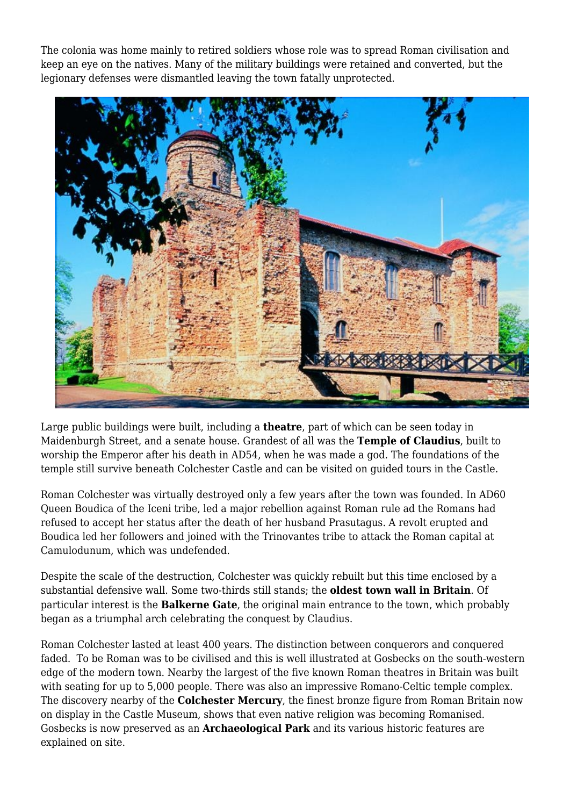The colonia was home mainly to retired soldiers whose role was to spread Roman civilisation and keep an eye on the natives. Many of the military buildings were retained and converted, but the legionary defenses were dismantled leaving the town fatally unprotected.



Large public buildings were built, including a **theatre**, part of which can be seen today in Maidenburgh Street, and a senate house. Grandest of all was the **Temple of Claudius**, built to worship the Emperor after his death in AD54, when he was made a god. The foundations of the temple still survive beneath Colchester Castle and can be visited on guided tours in the Castle.

Roman Colchester was virtually destroyed only a few years after the town was founded. In AD60 Queen Boudica of the Iceni tribe, led a major rebellion against Roman rule ad the Romans had refused to accept her status after the death of her husband Prasutagus. A revolt erupted and Boudica led her followers and joined with the Trinovantes tribe to attack the Roman capital at Camulodunum, which was undefended.

Despite the scale of the destruction, Colchester was quickly rebuilt but this time enclosed by a substantial defensive wall. Some two-thirds still stands; the **oldest town wall in Britain**. Of particular interest is the **Balkerne Gate**, the original main entrance to the town, which probably began as a triumphal arch celebrating the conquest by Claudius.

Roman Colchester lasted at least 400 years. The distinction between conquerors and conquered faded. To be Roman was to be civilised and this is well illustrated at Gosbecks on the south-western edge of the modern town. Nearby the largest of the five known Roman theatres in Britain was built with seating for up to 5,000 people. There was also an impressive Romano-Celtic temple complex. The discovery nearby of the **Colchester Mercury**, the finest bronze figure from Roman Britain now on display in the Castle Museum, shows that even native religion was becoming Romanised. Gosbecks is now preserved as an **Archaeological Park** and its various historic features are explained on site.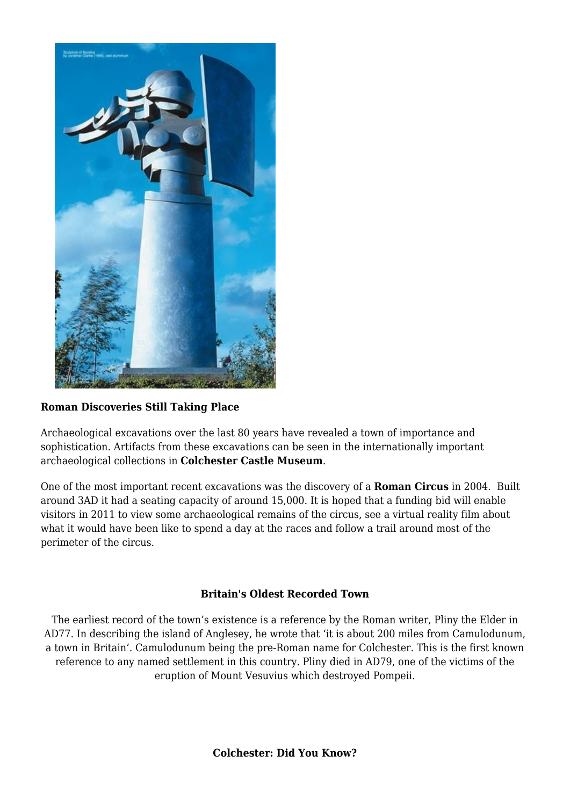

## **Roman Discoveries Still Taking Place**

Archaeological excavations over the last 80 years have revealed a town of importance and sophistication. Artifacts from these excavations can be seen in the internationally important archaeological collections in **Colchester Castle Museum**.

One of the most important recent excavations was the discovery of a **Roman Circus** in 2004. Built around 3AD it had a seating capacity of around 15,000. It is hoped that a funding bid will enable visitors in 2011 to view some archaeological remains of the circus, see a virtual reality film about what it would have been like to spend a day at the races and follow a trail around most of the perimeter of the circus.

# **Britain's Oldest Recorded Town**

The earliest record of the town's existence is a reference by the Roman writer, Pliny the Elder in AD77. In describing the island of Anglesey, he wrote that 'it is about 200 miles from Camulodunum, a town in Britain'. Camulodunum being the pre-Roman name for Colchester. This is the first known reference to any named settlement in this country. Pliny died in AD79, one of the victims of the eruption of Mount Vesuvius which destroyed Pompeii.